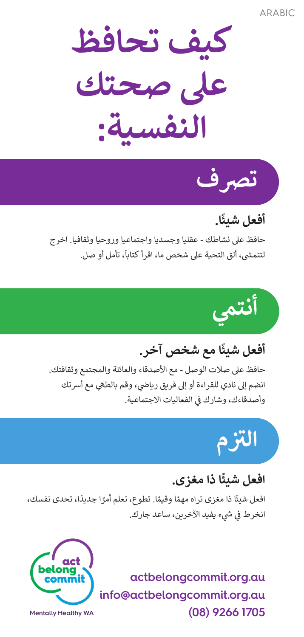ARABIC

**كيف تحافظ عىل صحتك النفسية:**



### **ًا. أفعل شيئ**

حافظ عىل نشاطك - عقليا وجسديا واجتماعيا وروحيا وثقافيا. اخرج .<br>لتتمشى، ألق التحية على شخص ما، اقرأ كتاباً، تأمل أو صل. ش



### **ًا مع شخص آخر. أفعل شيئ**

حافظ على صلات الوصل - مع الأصدقاء والعائلة والمجتمع وثقافتك. انضم إلى نادي للقراءة أو إلى فريق رياضي، وقم بالطهي مع أسرتك وأصدقاءك، وشارك في الفعاليات الاجتماعية. ف

## **ال� تز <sup>م</sup>**

### **ًا ذا مغزى. افعل شيئ**

ًافعل شيئًا ذا مغزى تراه مهمًا وقيمًا. تطوع، تعلم أمرًا جديدًا، تحدى نفسك، ًًًانخرط في شيء يفيد الآخرين، ساعد جارك. ف

> actbelongcommit.org.au  $info@actbelonacommit.org.au$ **1705 9266 (08)**



**Mentally Healthy WA**